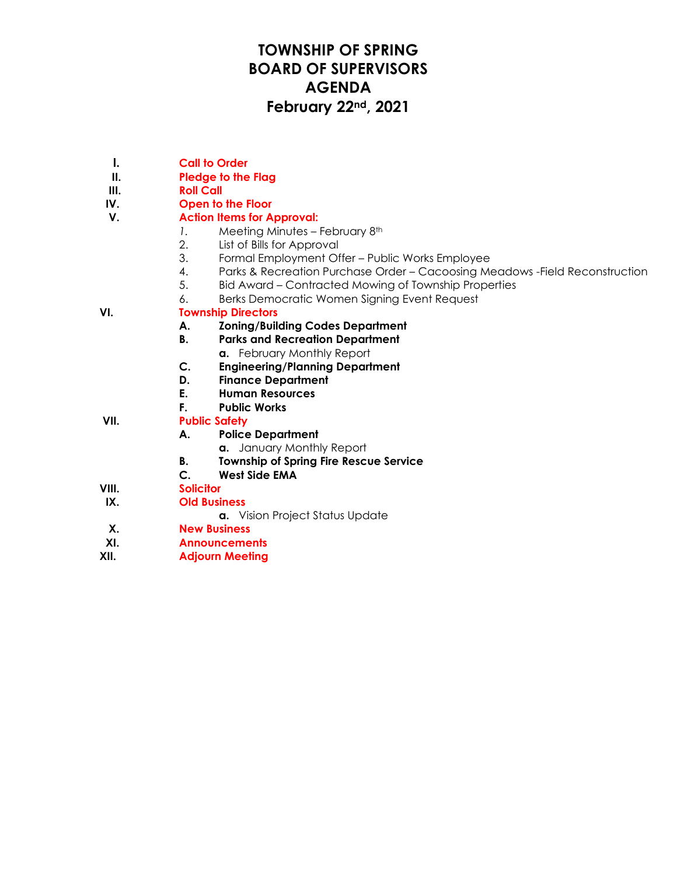## **TOWNSHIP OF SPRING BOARD OF SUPERVISORS AGENDA February 22nd, 2021**

- **I. Call to Order**
- **II. Pledge to the Flag**
- **III. Roll Call**
- **IV. Open to the Floor**

### **V. Action Items for Approval:**

- *1.* Meeting Minutes February 8th
- 2. List of Bills for Approval
- 3. Formal Employment Offer Public Works Employee
- 4. Parks & Recreation Purchase Order Cacoosing Meadows -Field Reconstruction
- 5. Bid Award Contracted Mowing of Township Properties
- 6. Berks Democratic Women Signing Event Request

### **VI. Township Directors**

- **A. Zoning/Building Codes Department**
- **B. Parks and Recreation Department**
	- **a.** February Monthly Report
- **C. Engineering/Planning Department**
- **D. Finance Department**
- **E. Human Resources**
- **F. Public Works**

### **VII. Public Safety**

- **A. Police Department**
	- **a.** January Monthly Report
	- **B. Township of Spring Fire Rescue Service**
	- **C. West Side EMA**
- **VIII. Solicitor**
- **IX. Old Business**

**a.** Vision Project Status Update

- **X. New Business**
- **XI. Announcements**
- **XII. Adjourn Meeting**